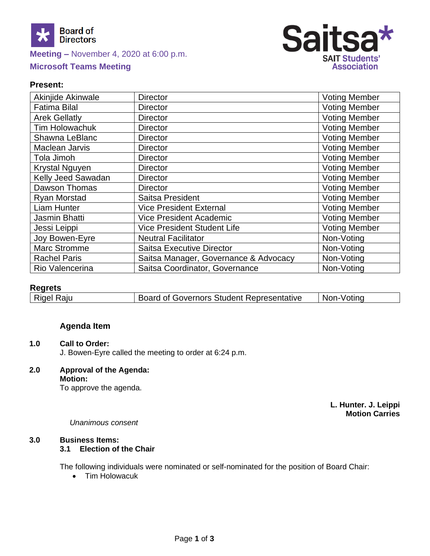

# **Meeting –** November 4, 2020 at 6:00 p.m. **Microsoft Teams Meeting**



## **Present:**

| Akinjide Akinwale     | <b>Director</b>                       | <b>Voting Member</b> |
|-----------------------|---------------------------------------|----------------------|
| <b>Fatima Bilal</b>   | <b>Director</b>                       | <b>Voting Member</b> |
| <b>Arek Gellatly</b>  | <b>Director</b>                       | Voting Member        |
| <b>Tim Holowachuk</b> | <b>Director</b>                       | <b>Voting Member</b> |
| Shawna LeBlanc        | <b>Director</b>                       | <b>Voting Member</b> |
| <b>Maclean Jarvis</b> | <b>Director</b>                       | <b>Voting Member</b> |
| Tola Jimoh            | <b>Director</b>                       | <b>Voting Member</b> |
| <b>Krystal Nguyen</b> | <b>Director</b>                       | <b>Voting Member</b> |
| Kelly Jeed Sawadan    | <b>Director</b>                       | <b>Voting Member</b> |
| Dawson Thomas         | <b>Director</b>                       | <b>Voting Member</b> |
| <b>Ryan Morstad</b>   | Saitsa President                      | <b>Voting Member</b> |
| <b>Liam Hunter</b>    | <b>Vice President External</b>        | <b>Voting Member</b> |
| <b>Jasmin Bhatti</b>  | <b>Vice President Academic</b>        | <b>Voting Member</b> |
| Jessi Leippi          | <b>Vice President Student Life</b>    | <b>Voting Member</b> |
| Joy Bowen-Eyre        | <b>Neutral Facilitator</b>            | Non-Voting           |
| <b>Marc Stromme</b>   | <b>Saitsa Executive Director</b>      | Non-Voting           |
| <b>Rachel Paris</b>   | Saitsa Manager, Governance & Advocacy | Non-Voting           |
| Rio Valencerina       | Saitsa Coordinator, Governance        | Non-Voting           |

## **Regrets**

| .          |                                                  |            |
|------------|--------------------------------------------------|------------|
| Rigel Raju | <b>Board of Governors Student Representative</b> | Non-Voting |

# **Agenda Item**

## **1.0 Call to Order:**

J. Bowen-Eyre called the meeting to order at 6:24 p.m.

# **2.0 Approval of the Agenda:**

**Motion:** To approve the agenda.

> **L. Hunter. J. Leippi Motion Carries**

#### *Unanimous consent*

### **3.0 Business Items:**

#### **3.1 Election of the Chair**

The following individuals were nominated or self-nominated for the position of Board Chair:

• Tim Holowacuk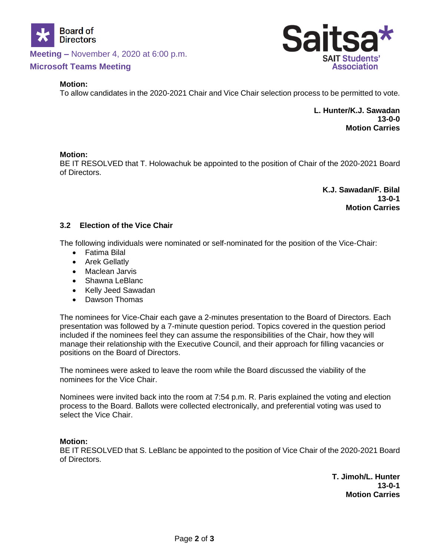

**Meeting –** November 4, 2020 at 6:00 p.m.

## **Microsoft Teams Meeting**

#### **Motion:**

To allow candidates in the 2020-2021 Chair and Vice Chair selection process to be permitted to vote.

**L. Hunter/K.J. Sawadan 13-0-0 Motion Carries**

#### **Motion:**

BE IT RESOLVED that T. Holowachuk be appointed to the position of Chair of the 2020-2021 Board of Directors.

> **K.J. Sawadan/F. Bilal 13-0-1 Motion Carries**

### **3.2 Election of the Vice Chair**

The following individuals were nominated or self-nominated for the position of the Vice-Chair:

- Fatima Bilal
- Arek Gellatly
- Maclean Jarvis
- Shawna LeBlanc
- Kelly Jeed Sawadan
- Dawson Thomas

The nominees for Vice-Chair each gave a 2-minutes presentation to the Board of Directors. Each presentation was followed by a 7-minute question period. Topics covered in the question period included if the nominees feel they can assume the responsibilities of the Chair, how they will manage their relationship with the Executive Council, and their approach for filling vacancies or positions on the Board of Directors.

The nominees were asked to leave the room while the Board discussed the viability of the nominees for the Vice Chair.

Nominees were invited back into the room at 7:54 p.m. R. Paris explained the voting and election process to the Board. Ballots were collected electronically, and preferential voting was used to select the Vice Chair.

#### **Motion:**

BE IT RESOLVED that S. LeBlanc be appointed to the position of Vice Chair of the 2020-2021 Board of Directors.

> **T. Jimoh/L. Hunter 13-0-1 Motion Carries**